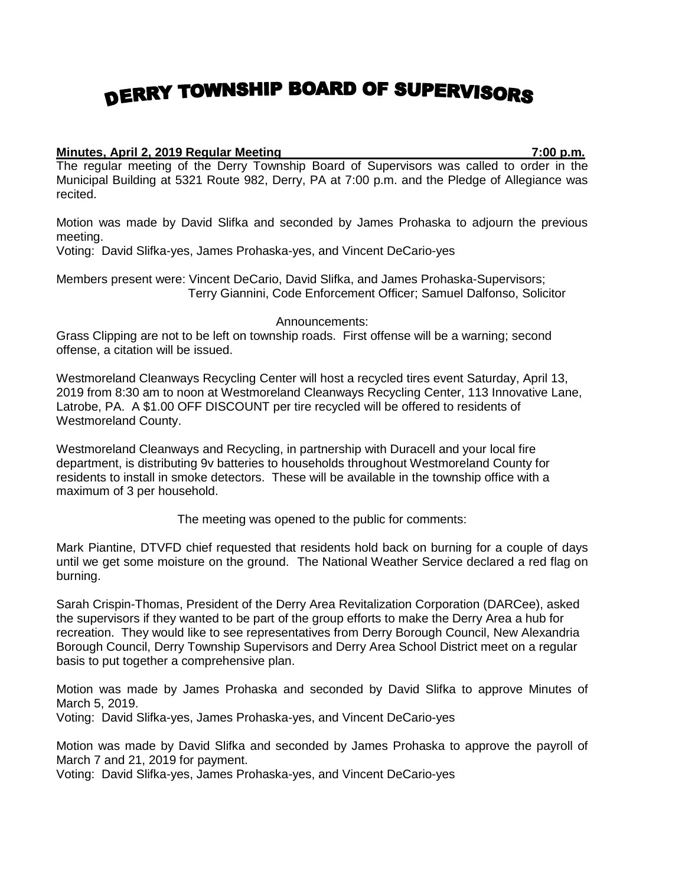## DERRY TOWNSHIP BOARD OF SUPERVISORS

## **Minutes, April 2, 2019 Regular Meeting 7:00 p.m.**

The regular meeting of the Derry Township Board of Supervisors was called to order in the Municipal Building at 5321 Route 982, Derry, PA at 7:00 p.m. and the Pledge of Allegiance was recited.

Motion was made by David Slifka and seconded by James Prohaska to adjourn the previous meeting.

Voting: David Slifka-yes, James Prohaska-yes, and Vincent DeCario-yes

Members present were: Vincent DeCario, David Slifka, and James Prohaska-Supervisors; Terry Giannini, Code Enforcement Officer; Samuel Dalfonso, Solicitor

Announcements:

Grass Clipping are not to be left on township roads. First offense will be a warning; second offense, a citation will be issued.

Westmoreland Cleanways Recycling Center will host a recycled tires event Saturday, April 13, 2019 from 8:30 am to noon at Westmoreland Cleanways Recycling Center, 113 Innovative Lane, Latrobe, PA. A \$1.00 OFF DISCOUNT per tire recycled will be offered to residents of Westmoreland County.

Westmoreland Cleanways and Recycling, in partnership with Duracell and your local fire department, is distributing 9v batteries to households throughout Westmoreland County for residents to install in smoke detectors. These will be available in the township office with a maximum of 3 per household.

The meeting was opened to the public for comments:

Mark Piantine, DTVFD chief requested that residents hold back on burning for a couple of days until we get some moisture on the ground. The National Weather Service declared a red flag on burning.

Sarah Crispin-Thomas, President of the Derry Area Revitalization Corporation (DARCee), asked the supervisors if they wanted to be part of the group efforts to make the Derry Area a hub for recreation. They would like to see representatives from Derry Borough Council, New Alexandria Borough Council, Derry Township Supervisors and Derry Area School District meet on a regular basis to put together a comprehensive plan.

Motion was made by James Prohaska and seconded by David Slifka to approve Minutes of March 5, 2019.

Voting: David Slifka-yes, James Prohaska-yes, and Vincent DeCario-yes

Motion was made by David Slifka and seconded by James Prohaska to approve the payroll of March 7 and 21, 2019 for payment.

Voting: David Slifka-yes, James Prohaska-yes, and Vincent DeCario-yes